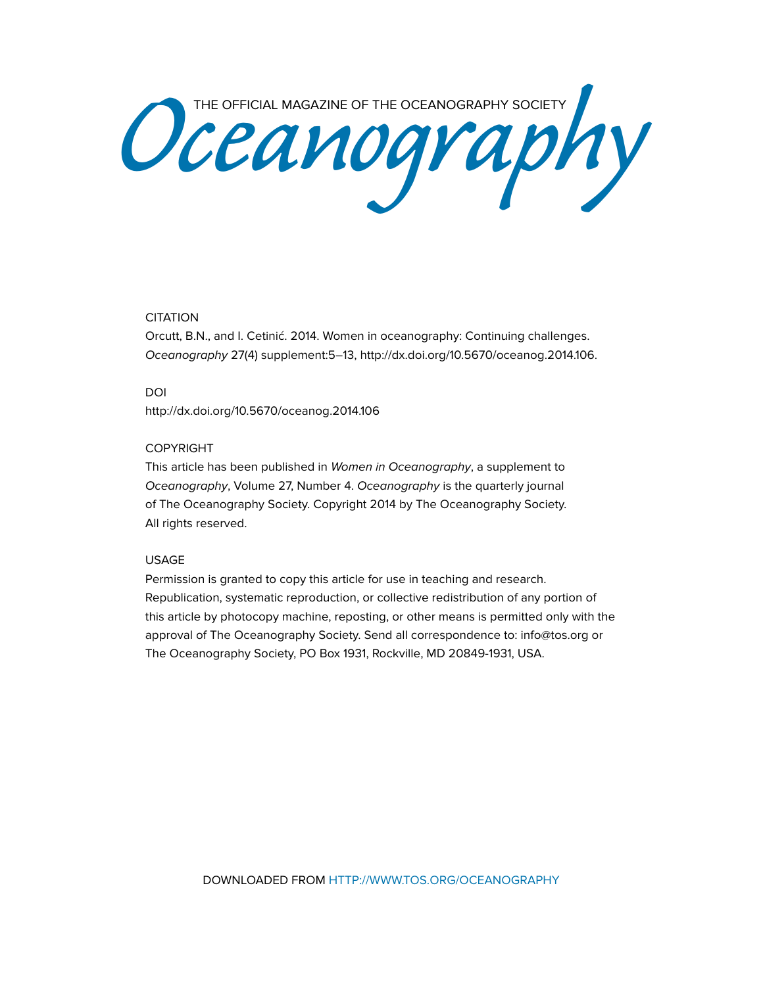Oceanography Society

#### **CITATION**

Orcutt, B.N., and I. Cetinić. 2014. Women in oceanography: Continuing challenges. Oceanography 27(4) supplement:5–13, http://dx.doi.org/10.5670/oceanog.2014.106.

DOI http://dx.doi.org/10.5670/oceanog.2014.106

#### COPYRIGHT

This article has been published in Women in Oceanography, a supplement to Oceanography, Volume 27, Number 4. Oceanography is the quarterly journal of The Oceanography Society. Copyright 2014 by The Oceanography Society. All rights reserved.

#### USAGE

Permission is granted to copy this article for use in teaching and research. Republication, systematic reproduction, or collective redistribution of any portion of this article by photocopy machine, reposting, or other means is permitted only with the approval of The Oceanography Society. Send all correspondence to: [info@tos.org](mailto:info@tos.org) or The Oceanography Society, PO Box 1931, Rockville, MD 20849-1931, USA.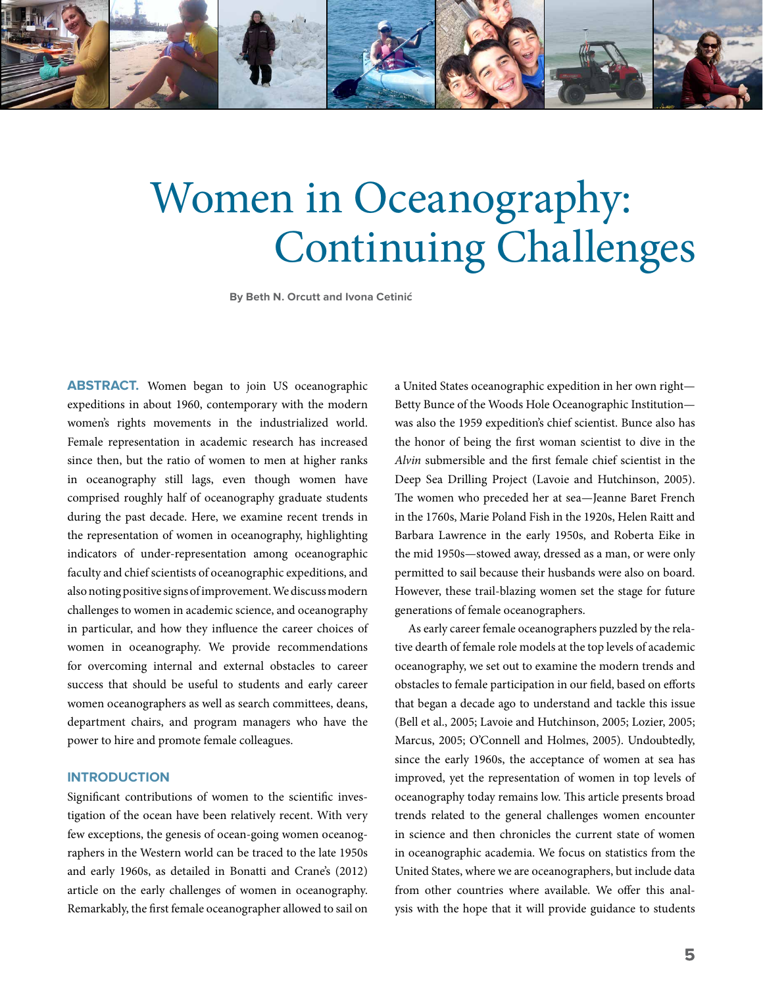

# Women in Oceanography: Continuing Challenges

**By Beth N. Orcutt and Ivona Cetinić**

**ABSTRACT.** Women began to join US oceanographic expeditions in about 1960, contemporary with the modern women's rights movements in the industrialized world. Female representation in academic research has increased since then, but the ratio of women to men at higher ranks in oceanography still lags, even though women have comprised roughly half of oceanography graduate students during the past decade. Here, we examine recent trends in the representation of women in oceanography, highlighting indicators of under-representation among oceanographic faculty and chief scientists of oceanographic expeditions, and also noting positive signs of improvement. We discuss modern challenges to women in academic science, and oceanography in particular, and how they influence the career choices of women in oceanography. We provide recommendations for overcoming internal and external obstacles to career success that should be useful to students and early career women oceanographers as well as search committees, deans, department chairs, and program managers who have the power to hire and promote female colleagues.

### **INTRODUCTION**

Significant contributions of women to the scientific investigation of the ocean have been relatively recent. With very few exceptions, the genesis of ocean-going women oceanographers in the Western world can be traced to the late 1950s and early 1960s, as detailed in Bonatti and Crane's (2012) article on the early challenges of women in oceanography. Remarkably, the first female oceanographer allowed to sail on

a United States oceanographic expedition in her own right— Betty Bunce of the Woods Hole Oceanographic Institution was also the 1959 expedition's chief scientist. Bunce also has the honor of being the first woman scientist to dive in the *Alvin* submersible and the first female chief scientist in the Deep Sea Drilling Project (Lavoie and Hutchinson, 2005). The women who preceded her at sea—Jeanne Baret French in the 1760s, Marie Poland Fish in the 1920s, Helen Raitt and Barbara Lawrence in the early 1950s, and Roberta Eike in the mid 1950s—stowed away, dressed as a man, or were only permitted to sail because their husbands were also on board. However, these trail-blazing women set the stage for future generations of female oceanographers.

As early career female oceanographers puzzled by the relative dearth of female role models at the top levels of academic oceanography, we set out to examine the modern trends and obstacles to female participation in our field, based on efforts that began a decade ago to understand and tackle this issue (Bell et al., 2005; Lavoie and Hutchinson, 2005; Lozier, 2005; Marcus, 2005; O'Connell and Holmes, 2005). Undoubtedly, since the early 1960s, the acceptance of women at sea has improved, yet the representation of women in top levels of oceanography today remains low. This article presents broad trends related to the general challenges women encounter in science and then chronicles the current state of women in oceanographic academia. We focus on statistics from the United States, where we are oceanographers, but include data from other countries where available. We offer this analysis with the hope that it will provide guidance to students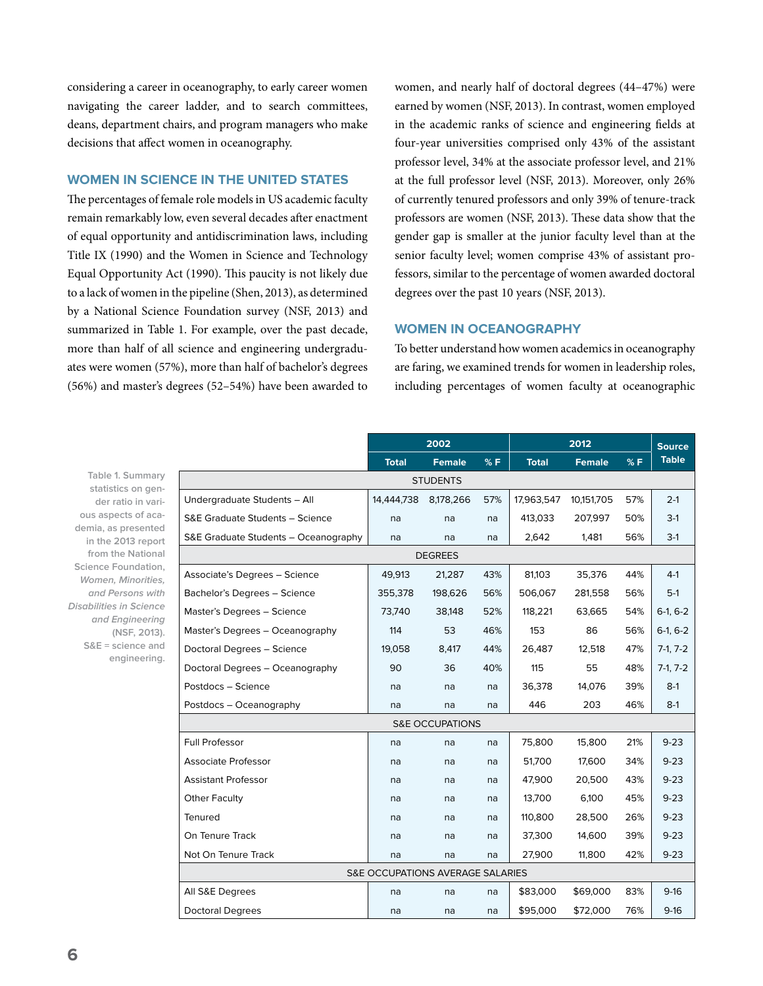considering a career in oceanography, to early career women navigating the career ladder, and to search committees, deans, department chairs, and program managers who make decisions that affect women in oceanography.

### **WOMEN IN SCIENCE IN THE UNITED STATES**

The percentages of female role models in US academic faculty remain remarkably low, even several decades after enactment of equal opportunity and antidiscrimination laws, including Title IX (1990) and the Women in Science and Technology Equal Opportunity Act (1990). This paucity is not likely due to a lack of women in the pipeline (Shen, 2013), as determined by a National Science Foundation survey (NSF, 2013) and summarized in Table 1. For example, over the past decade, more than half of all science and engineering undergraduates were women (57%), more than half of bachelor's degrees (56%) and master's degrees (52–54%) have been awarded to women, and nearly half of doctoral degrees (44–47%) were earned by women (NSF, 2013). In contrast, women employed in the academic ranks of science and engineering fields at four-year universities comprised only 43% of the assistant professor level, 34% at the associate professor level, and 21% at the full professor level (NSF, 2013). Moreover, only 26% of currently tenured professors and only 39% of tenure-track professors are women (NSF, 2013). These data show that the gender gap is smaller at the junior faculty level than at the senior faculty level; women comprise 43% of assistant professors, similar to the percentage of women awarded doctoral degrees over the past 10 years (NSF, 2013).

#### **WOMEN IN OCEANOGRAPHY**

To better understand how women academics in oceanography are faring, we examined trends for women in leadership roles, including percentages of women faculty at oceanographic

**Table 1. Summary statistics on gender ratio in various aspects of academia, as presented in the 2013 report from the National Science Foundation, Women, Minorities, and Persons with Disabilities in Science and Engineering (NSF, 2013). S&E = science and engineering.**

|                                      | 2002                                        |                            |     |              | <b>Source</b> |     |              |  |  |  |  |  |  |
|--------------------------------------|---------------------------------------------|----------------------------|-----|--------------|---------------|-----|--------------|--|--|--|--|--|--|
|                                      | <b>Total</b>                                | <b>Female</b>              | %F  | <b>Total</b> | <b>Female</b> | %F  | <b>Table</b> |  |  |  |  |  |  |
| <b>STUDENTS</b>                      |                                             |                            |     |              |               |     |              |  |  |  |  |  |  |
| Undergraduate Students - All         | 14,444,738                                  | 8,178,266                  | 57% | 17,963,547   | 10,151,705    | 57% | $2-1$        |  |  |  |  |  |  |
| S&E Graduate Students - Science      | na                                          | na                         | na  | 413,033      | 207,997       | 50% | $3-1$        |  |  |  |  |  |  |
| S&E Graduate Students - Oceanography | na                                          | na                         | na  | 2,642        | 1,481         | 56% | $3-1$        |  |  |  |  |  |  |
| <b>DEGREES</b>                       |                                             |                            |     |              |               |     |              |  |  |  |  |  |  |
| Associate's Degrees – Science        | 49.913                                      | 21,287                     | 43% | 81.103       | 35,376        | 44% | $4-1$        |  |  |  |  |  |  |
| Bachelor's Degrees - Science         | 355,378                                     | 198,626                    | 56% | 506,067      | 281,558       | 56% | $5-1$        |  |  |  |  |  |  |
| Master's Degrees - Science           | 73.740                                      | 38,148                     | 52% | 118.221      | 63,665        | 54% | $6-1, 6-2$   |  |  |  |  |  |  |
| Master's Degrees - Oceanography      | 114                                         | 53                         | 46% | 153          | 86            | 56% | $6-1, 6-2$   |  |  |  |  |  |  |
| Doctoral Degrees - Science           | 19,058                                      | 8,417                      | 44% | 26,487       | 12,518        | 47% | $7-1, 7-2$   |  |  |  |  |  |  |
| Doctoral Degrees - Oceanography      | 90                                          | 36                         | 40% | 115          | 55            | 48% | $7-1, 7-2$   |  |  |  |  |  |  |
| Postdocs - Science                   | na                                          | na                         | na  | 36,378       | 14,076        | 39% | $8-1$        |  |  |  |  |  |  |
| Postdocs - Oceanography              | na                                          | na                         | na  | 446          | 203           | 46% | $8-1$        |  |  |  |  |  |  |
|                                      |                                             | <b>S&amp;E OCCUPATIONS</b> |     |              |               |     |              |  |  |  |  |  |  |
| <b>Full Professor</b>                | na                                          | na                         | na  | 75,800       | 15,800        | 21% | $9 - 23$     |  |  |  |  |  |  |
| Associate Professor                  | na                                          | na                         | na  | 51,700       | 17,600        | 34% | $9 - 23$     |  |  |  |  |  |  |
| <b>Assistant Professor</b>           | na                                          | na                         | na  | 47.900       | 20,500        | 43% | $9 - 23$     |  |  |  |  |  |  |
| <b>Other Faculty</b>                 | na                                          | na                         | na  | 13,700       | 6,100         | 45% | $9 - 23$     |  |  |  |  |  |  |
| Tenured                              | na                                          | na                         | na  | 110,800      | 28,500        | 26% | $9 - 23$     |  |  |  |  |  |  |
| On Tenure Track                      | na                                          | na                         | na  | 37,300       | 14,600        | 39% | $9 - 23$     |  |  |  |  |  |  |
| Not On Tenure Track                  | na                                          | na                         | na  | 27,900       | 11,800        | 42% | $9 - 23$     |  |  |  |  |  |  |
|                                      | <b>S&amp;E OCCUPATIONS AVERAGE SALARIES</b> |                            |     |              |               |     |              |  |  |  |  |  |  |
| All S&E Degrees                      | na                                          | na                         | na  | \$83,000     | \$69,000      | 83% | $9 - 16$     |  |  |  |  |  |  |
| <b>Doctoral Degrees</b>              | na                                          | na                         | na  | \$95,000     | \$72,000      | 76% | $9 - 16$     |  |  |  |  |  |  |
|                                      |                                             |                            |     |              |               |     |              |  |  |  |  |  |  |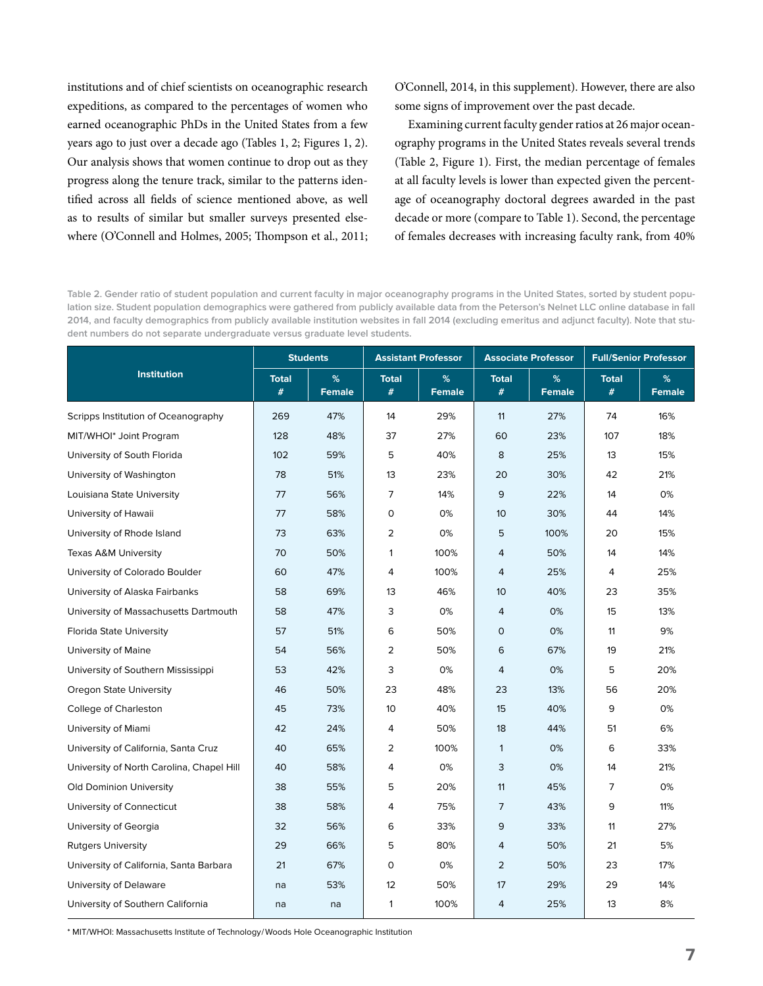institutions and of chief scientists on oceanographic research expeditions, as compared to the percentages of women who earned oceanographic PhDs in the United States from a few years ago to just over a decade ago (Tables 1, 2; Figures 1, 2). Our analysis shows that women continue to drop out as they progress along the tenure track, similar to the patterns identified across all fields of science mentioned above, as well as to results of similar but smaller surveys presented elsewhere (O'Connell and Holmes, 2005; Thompson et al., 2011; O'Connell, 2014, in this supplement). However, there are also some signs of improvement over the past decade.

Examining current faculty gender ratios at 26 major oceanography programs in the United States reveals several trends (Table 2, Figure 1). First, the median percentage of females at all faculty levels is lower than expected given the percentage of oceanography doctoral degrees awarded in the past decade or more (compare to Table 1). Second, the percentage of females decreases with increasing faculty rank, from 40%

**Table 2. Gender ratio of student population and current faculty in major oceanography programs in the United States, sorted by student population size. Student population demographics were gathered from publicly available data from the Peterson's Nelnet LLC online database in fall 2014, and faculty demographics from publicly available institution websites in fall 2014 (excluding emeritus and adjunct faculty). Note that student numbers do not separate undergraduate versus graduate level students.** 

| <b>Institution</b>                        | <b>Students</b>   |                    | <b>Assistant Professor</b> |                    | <b>Associate Professor</b> |                    | <b>Full/Senior Professor</b> |             |
|-------------------------------------------|-------------------|--------------------|----------------------------|--------------------|----------------------------|--------------------|------------------------------|-------------|
|                                           | <b>Total</b><br># | %<br><b>Female</b> | <b>Total</b><br>#          | %<br><b>Female</b> | <b>Total</b><br>#          | %<br><b>Female</b> | <b>Total</b><br>#            | %<br>Female |
| Scripps Institution of Oceanography       | 269               | 47%                | 14                         | 29%                | 11                         | 27%                | 74                           | 16%         |
| MIT/WHOI* Joint Program                   | 128               | 48%                | 37                         | 27%                | 60                         | 23%                | 107                          | 18%         |
| University of South Florida               | 102               | 59%                | 5                          | 40%                | 8                          | 25%                | 13                           | 15%         |
| University of Washington                  | 78                | 51%                | 13                         | 23%                | 20                         | 30%                | 42                           | 21%         |
| Louisiana State University                | 77                | 56%                | 7                          | 14%                | 9                          | 22%                | 14                           | 0%          |
| University of Hawaii                      | 77                | 58%                | 0                          | 0%                 | 10                         | 30%                | 44                           | 14%         |
| University of Rhode Island                | 73                | 63%                | 2                          | 0%                 | 5                          | 100%               | 20                           | 15%         |
| <b>Texas A&amp;M University</b>           | 70                | 50%                | 1                          | 100%               | $\overline{4}$             | 50%                | 14                           | 14%         |
| University of Colorado Boulder            | 60                | 47%                | 4                          | 100%               | $\overline{4}$             | 25%                | 4                            | 25%         |
| University of Alaska Fairbanks            | 58                | 69%                | 13                         | 46%                | 10                         | 40%                | 23                           | 35%         |
| University of Massachusetts Dartmouth     | 58                | 47%                | 3                          | 0%                 | $\overline{4}$             | 0%                 | 15                           | 13%         |
| <b>Florida State University</b>           | 57                | 51%                | 6                          | 50%                | $\mathbf 0$                | 0%                 | 11                           | 9%          |
| University of Maine                       | 54                | 56%                | 2                          | 50%                | 6                          | 67%                | 19                           | 21%         |
| University of Southern Mississippi        | 53                | 42%                | 3                          | 0%                 | $\overline{4}$             | 0%                 | 5                            | 20%         |
| <b>Oregon State University</b>            | 46                | 50%                | 23                         | 48%                | 23                         | 13%                | 56                           | 20%         |
| College of Charleston                     | 45                | 73%                | 10                         | 40%                | 15                         | 40%                | 9                            | 0%          |
| University of Miami                       | 42                | 24%                | 4                          | 50%                | 18                         | 44%                | 51                           | 6%          |
| University of California, Santa Cruz      | 40                | 65%                | 2                          | 100%               | $\mathbf{1}$               | 0%                 | 6                            | 33%         |
| University of North Carolina, Chapel Hill | 40                | 58%                | 4                          | 0%                 | 3                          | 0%                 | 14                           | 21%         |
| <b>Old Dominion University</b>            | 38                | 55%                | 5                          | 20%                | 11                         | 45%                | 7                            | 0%          |
| University of Connecticut                 | 38                | 58%                | 4                          | 75%                | $\overline{7}$             | 43%                | 9                            | 11%         |
| University of Georgia                     | 32                | 56%                | 6                          | 33%                | 9                          | 33%                | 11                           | 27%         |
| <b>Rutgers University</b>                 | 29                | 66%                | 5                          | 80%                | $\overline{4}$             | 50%                | 21                           | 5%          |
| University of California, Santa Barbara   | 21                | 67%                | 0                          | 0%                 | 2                          | 50%                | 23                           | 17%         |
| University of Delaware                    | na                | 53%                | 12                         | 50%                | 17                         | 29%                | 29                           | 14%         |
| University of Southern California         | na                | na                 | 1                          | 100%               | $\overline{4}$             | 25%                | 13                           | 8%          |

\* MIT/WHOI: Massachusetts Institute of Technology/Woods Hole Oceanographic Institution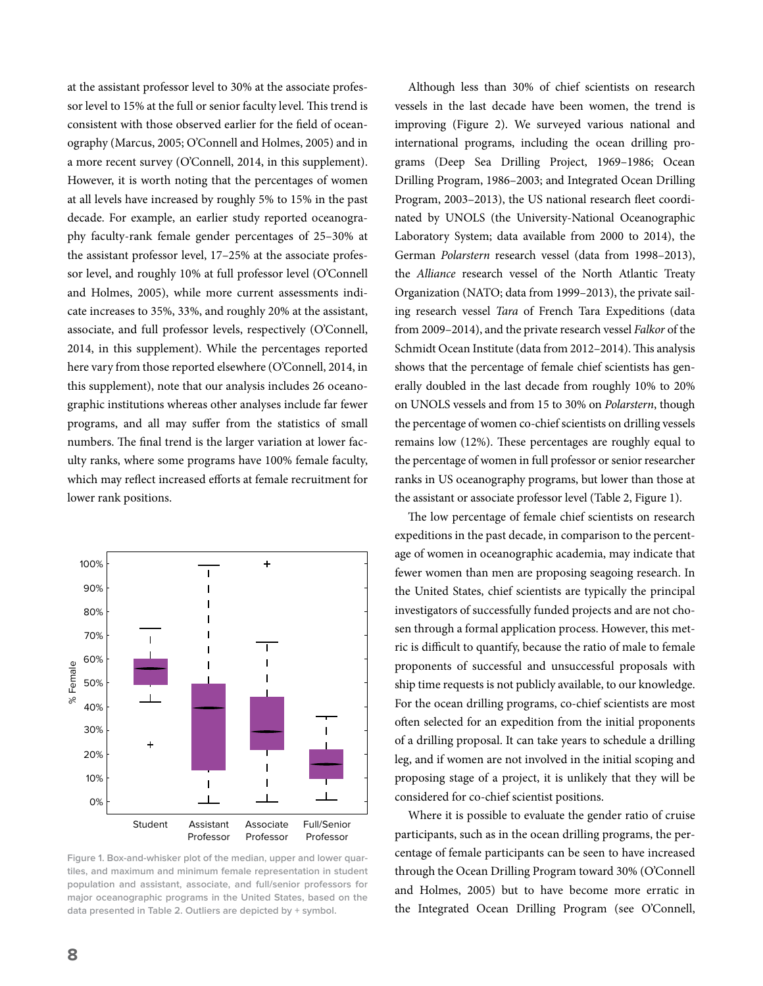at the assistant professor level to 30% at the associate professor level to 15% at the full or senior faculty level. This trend is consistent with those observed earlier for the field of oceanography (Marcus, 2005; O'Connell and Holmes, 2005) and in a more recent survey (O'Connell, 2014, in this supplement). However, it is worth noting that the percentages of women at all levels have increased by roughly 5% to 15% in the past decade. For example, an earlier study reported oceanography faculty-rank female gender percentages of 25–30% at the assistant professor level, 17–25% at the associate professor level, and roughly 10% at full professor level (O'Connell and Holmes, 2005), while more current assessments indicate increases to 35%, 33%, and roughly 20% at the assistant, associate, and full professor levels, respectively (O'Connell, 2014, in this supplement). While the percentages reported here vary from those reported elsewhere (O'Connell, 2014, in this supplement), note that our analysis includes 26 oceanographic institutions whereas other analyses include far fewer programs, and all may suffer from the statistics of small numbers. The final trend is the larger variation at lower faculty ranks, where some programs have 100% female faculty, which may reflect increased efforts at female recruitment for lower rank positions.



**Figure 1. Box-and-whisker plot of the median, upper and lower quartiles, and maximum and minimum female representation in student population and assistant, associate, and full/senior professors for major oceanographic programs in the United States, based on the data presented in Table 2. Outliers are depicted by + symbol.** 

Although less than 30% of chief scientists on research vessels in the last decade have been women, the trend is improving (Figure 2). We surveyed various national and international programs, including the ocean drilling programs (Deep Sea Drilling Project, 1969–1986; Ocean Drilling Program, 1986–2003; and Integrated Ocean Drilling Program, 2003–2013), the US national research fleet coordinated by UNOLS (the University-National Oceanographic Laboratory System; data available from 2000 to 2014), the German *Polarstern* research vessel (data from 1998–2013), the *Alliance* research vessel of the North Atlantic Treaty Organization (NATO; data from 1999–2013), the private sailing research vessel *Tara* of French Tara Expeditions (data from 2009–2014), and the private research vessel *Falkor* of the Schmidt Ocean Institute (data from 2012–2014). This analysis shows that the percentage of female chief scientists has generally doubled in the last decade from roughly 10% to 20% on UNOLS vessels and from 15 to 30% on *Polarstern*, though the percentage of women co-chief scientists on drilling vessels remains low (12%). These percentages are roughly equal to the percentage of women in full professor or senior researcher ranks in US oceanography programs, but lower than those at the assistant or associate professor level (Table 2, Figure 1).

The low percentage of female chief scientists on research expeditions in the past decade, in comparison to the percentage of women in oceanographic academia, may indicate that fewer women than men are proposing seagoing research. In the United States, chief scientists are typically the principal investigators of successfully funded projects and are not chosen through a formal application process. However, this metric is difficult to quantify, because the ratio of male to female proponents of successful and unsuccessful proposals with ship time requests is not publicly available, to our knowledge. For the ocean drilling programs, co-chief scientists are most often selected for an expedition from the initial proponents of a drilling proposal. It can take years to schedule a drilling leg, and if women are not involved in the initial scoping and proposing stage of a project, it is unlikely that they will be considered for co-chief scientist positions.

Where it is possible to evaluate the gender ratio of cruise participants, such as in the ocean drilling programs, the percentage of female participants can be seen to have increased through the Ocean Drilling Program toward 30% (O'Connell and Holmes, 2005) but to have become more erratic in the Integrated Ocean Drilling Program (see O'Connell,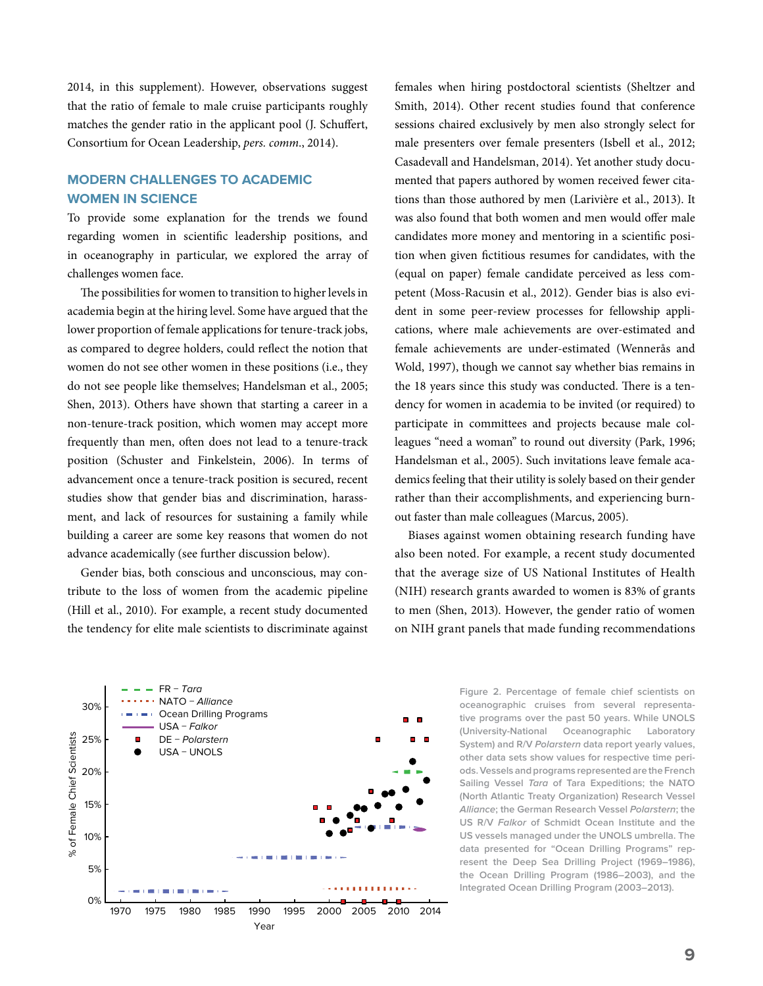2014, in this supplement). However, observations suggest that the ratio of female to male cruise participants roughly matches the gender ratio in the applicant pool (J. Schuffert, Consortium for Ocean Leadership, *pers. comm*., 2014).

## **MODERN CHALLENGES TO ACADEMIC WOMEN IN SCIENCE**

To provide some explanation for the trends we found regarding women in scientific leadership positions, and in oceanography in particular, we explored the array of challenges women face.

The possibilities for women to transition to higher levels in academia begin at the hiring level. Some have argued that the lower proportion of female applications for tenure-track jobs, as compared to degree holders, could reflect the notion that women do not see other women in these positions (i.e., they do not see people like themselves; Handelsman et al., 2005; Shen, 2013). Others have shown that starting a career in a non-tenure-track position, which women may accept more frequently than men, often does not lead to a tenure-track position (Schuster and Finkelstein, 2006). In terms of advancement once a tenure-track position is secured, recent studies show that gender bias and discrimination, harassment, and lack of resources for sustaining a family while building a career are some key reasons that women do not advance academically (see further discussion below).

Gender bias, both conscious and unconscious, may contribute to the loss of women from the academic pipeline (Hill et al., 2010). For example, a recent study documented the tendency for elite male scientists to discriminate against females when hiring postdoctoral scientists (Sheltzer and Smith, 2014). Other recent studies found that conference sessions chaired exclusively by men also strongly select for male presenters over female presenters (Isbell et al., 2012; Casadevall and Handelsman, 2014). Yet another study documented that papers authored by women received fewer citations than those authored by men (Larivière et al., 2013). It was also found that both women and men would offer male candidates more money and mentoring in a scientific position when given fictitious resumes for candidates, with the (equal on paper) female candidate perceived as less competent (Moss-Racusin et al., 2012). Gender bias is also evident in some peer-review processes for fellowship applications, where male achievements are over-estimated and female achievements are under-estimated (Wennerås and Wold, 1997), though we cannot say whether bias remains in the 18 years since this study was conducted. There is a tendency for women in academia to be invited (or required) to participate in committees and projects because male colleagues "need a woman" to round out diversity (Park, 1996; Handelsman et al., 2005). Such invitations leave female academics feeling that their utility is solely based on their gender rather than their accomplishments, and experiencing burnout faster than male colleagues (Marcus, 2005).

Biases against women obtaining research funding have also been noted. For example, a recent study documented that the average size of US National Institutes of Health (NIH) research grants awarded to women is 83% of grants to men (Shen, 2013). However, the gender ratio of women on NIH grant panels that made funding recommendations



**Figure 2. Percentage of female chief scientists on oceanographic cruises from several representative programs over the past 50 years. While UNOLS (University-National Oceanographic Laboratory System) and R/V Polarstern data report yearly values, other data sets show values for respective time periods. Vessels and programs represented are the French Sailing Vessel Tara of Tara Expeditions; the NATO (North Atlantic Treaty Organization) Research Vessel Alliance; the German Research Vessel Polarstern; the US R/V Falkor of Schmidt Ocean Institute and the US vessels managed under the UNOLS umbrella. The data presented for "Ocean Drilling Programs" represent the Deep Sea Drilling Project (1969–1986), the Ocean Drilling Program (1986–2003), and the Integrated Ocean Drilling Program (2003–2013).**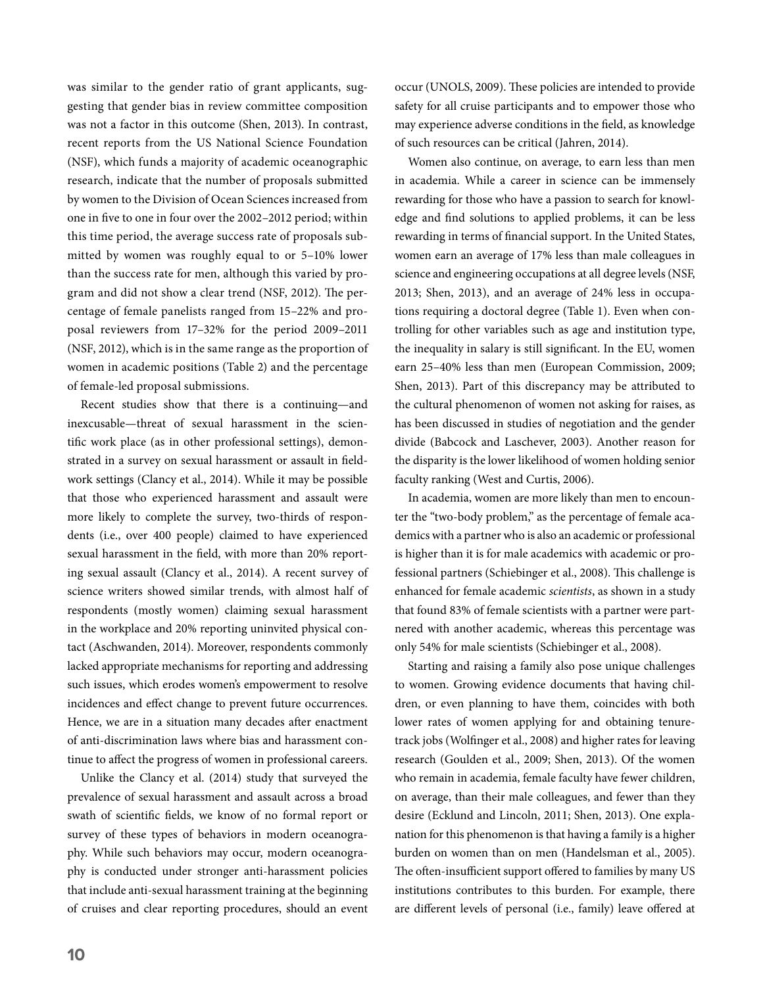was similar to the gender ratio of grant applicants, suggesting that gender bias in review committee composition was not a factor in this outcome (Shen, 2013). In contrast, recent reports from the US National Science Foundation (NSF), which funds a majority of academic oceanographic research, indicate that the number of proposals submitted by women to the Division of Ocean Sciences increased from one in five to one in four over the 2002–2012 period; within this time period, the average success rate of proposals submitted by women was roughly equal to or 5–10% lower than the success rate for men, although this varied by program and did not show a clear trend (NSF, 2012). The percentage of female panelists ranged from 15–22% and proposal reviewers from 17–32% for the period 2009–2011 (NSF, 2012), which is in the same range as the proportion of women in academic positions (Table 2) and the percentage of female-led proposal submissions.

Recent studies show that there is a continuing—and inexcusable—threat of sexual harassment in the scientific work place (as in other professional settings), demonstrated in a survey on sexual harassment or assault in fieldwork settings (Clancy et al., 2014). While it may be possible that those who experienced harassment and assault were more likely to complete the survey, two-thirds of respondents (i.e., over 400 people) claimed to have experienced sexual harassment in the field, with more than 20% reporting sexual assault (Clancy et al., 2014). A recent survey of science writers showed similar trends, with almost half of respondents (mostly women) claiming sexual harassment in the workplace and 20% reporting uninvited physical contact (Aschwanden, 2014). Moreover, respondents commonly lacked appropriate mechanisms for reporting and addressing such issues, which erodes women's empowerment to resolve incidences and effect change to prevent future occurrences. Hence, we are in a situation many decades after enactment of anti-discrimination laws where bias and harassment continue to affect the progress of women in professional careers.

Unlike the Clancy et al. (2014) study that surveyed the prevalence of sexual harassment and assault across a broad swath of scientific fields, we know of no formal report or survey of these types of behaviors in modern oceanography. While such behaviors may occur, modern oceanography is conducted under stronger anti-harassment policies that include anti-sexual harassment training at the beginning of cruises and clear reporting procedures, should an event occur (UNOLS, 2009). These policies are intended to provide safety for all cruise participants and to empower those who may experience adverse conditions in the field, as knowledge of such resources can be critical (Jahren, 2014).

Women also continue, on average, to earn less than men in academia. While a career in science can be immensely rewarding for those who have a passion to search for knowledge and find solutions to applied problems, it can be less rewarding in terms of financial support. In the United States, women earn an average of 17% less than male colleagues in science and engineering occupations at all degree levels (NSF, 2013; Shen, 2013), and an average of 24% less in occupations requiring a doctoral degree (Table 1). Even when controlling for other variables such as age and institution type, the inequality in salary is still significant. In the EU, women earn 25–40% less than men (European Commission, 2009; Shen, 2013). Part of this discrepancy may be attributed to the cultural phenomenon of women not asking for raises, as has been discussed in studies of negotiation and the gender divide (Babcock and Laschever, 2003). Another reason for the disparity is the lower likelihood of women holding senior faculty ranking (West and Curtis, 2006).

In academia, women are more likely than men to encounter the "two-body problem," as the percentage of female academics with a partner who is also an academic or professional is higher than it is for male academics with academic or professional partners (Schiebinger et al., 2008). This challenge is enhanced for female academic *scientists*, as shown in a study that found 83% of female scientists with a partner were partnered with another academic, whereas this percentage was only 54% for male scientists (Schiebinger et al., 2008).

Starting and raising a family also pose unique challenges to women. Growing evidence documents that having children, or even planning to have them, coincides with both lower rates of women applying for and obtaining tenuretrack jobs (Wolfinger et al., 2008) and higher rates for leaving research (Goulden et al., 2009; Shen, 2013). Of the women who remain in academia, female faculty have fewer children, on average, than their male colleagues, and fewer than they desire (Ecklund and Lincoln, 2011; Shen, 2013). One explanation for this phenomenon is that having a family is a higher burden on women than on men (Handelsman et al., 2005). The often-insufficient support offered to families by many US institutions contributes to this burden. For example, there are different levels of personal (i.e., family) leave offered at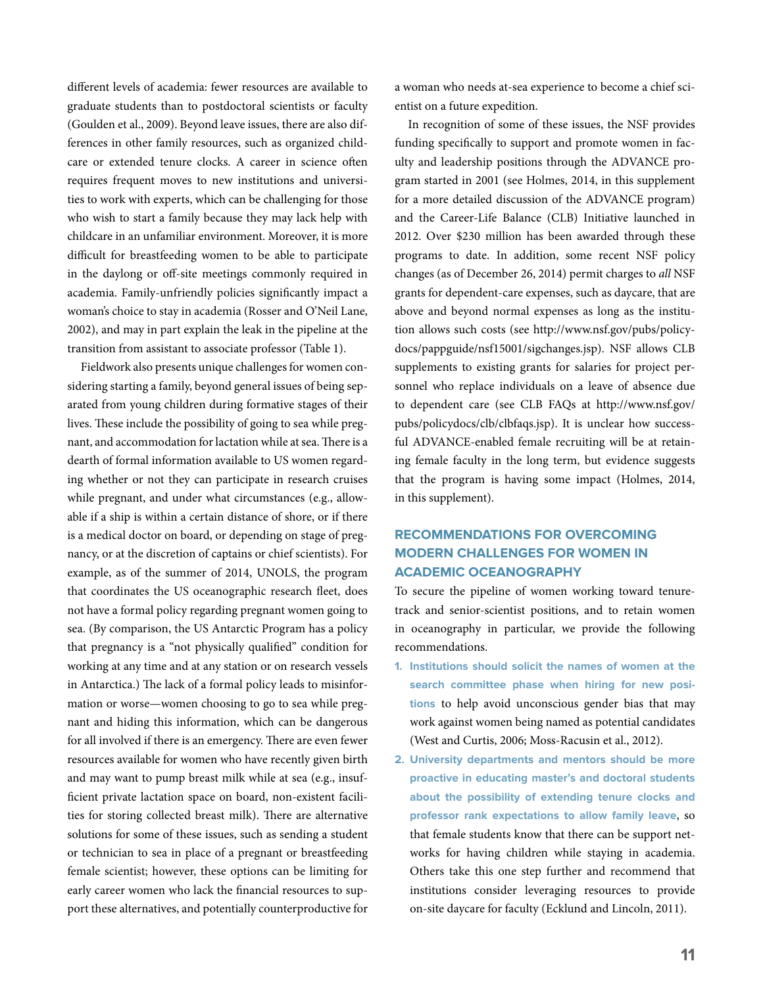different levels of academia: fewer resources are available to graduate students than to postdoctoral scientists or faculty (Goulden et al., 2009). Beyond leave issues, there are also differences in other family resources, such as organized childcare or extended tenure clocks. A career in science often requires frequent moves to new institutions and universities to work with experts, which can be challenging for those who wish to start a family because they may lack help with childcare in an unfamiliar environment. Moreover, it is more difficult for breastfeeding women to be able to participate in the daylong or off-site meetings commonly required in academia. Family-unfriendly policies significantly impact a woman's choice to stay in academia (Rosser and O'Neil Lane, 2002), and may in part explain the leak in the pipeline at the transition from assistant to associate professor (Table 1).

Fieldwork also presents unique challenges for women considering starting a family, beyond general issues of being separated from young children during formative stages of their lives. These include the possibility of going to sea while pregnant, and accommodation for lactation while at sea. There is a dearth of formal information available to US women regarding whether or not they can participate in research cruises while pregnant, and under what circumstances (e.g., allowable if a ship is within a certain distance of shore, or if there is a medical doctor on board, or depending on stage of pregnancy, or at the discretion of captains or chief scientists). For example, as of the summer of 2014, UNOLS, the program that coordinates the US oceanographic research fleet, does not have a formal policy regarding pregnant women going to sea. (By comparison, the US Antarctic Program has a policy that pregnancy is a "not physically qualified" condition for working at any time and at any station or on research vessels in Antarctica.) The lack of a formal policy leads to misinformation or worse—women choosing to go to sea while pregnant and hiding this information, which can be dangerous for all involved if there is an emergency. There are even fewer resources available for women who have recently given birth and may want to pump breast milk while at sea (e.g., insufficient private lactation space on board, non-existent facilities for storing collected breast milk). There are alternative solutions for some of these issues, such as sending a student or technician to sea in place of a pregnant or breastfeeding female scientist; however, these options can be limiting for early career women who lack the financial resources to support these alternatives, and potentially counterproductive for

a woman who needs at-sea experience to become a chief scientist on a future expedition.

In recognition of some of these issues, the NSF provides funding specifically to support and promote women in faculty and leadership positions through the ADVANCE program started in 2001 (see Holmes, 2014, in this supplement for a more detailed discussion of the ADVANCE program) and the Career-Life Balance (CLB) Initiative launched in 2012. Over \$230 million has been awarded through these programs to date. In addition, some recent NSF policy changes (as of December 26, 2014) permit charges to *all* NSF grants for dependent-care expenses, such as daycare, that are above and beyond normal expenses as long as the institution allows such costs (see [http://www.nsf.gov/pubs/policy](http://www.nsf.gov/pubs/policydocs/pappguide/nsf15001/sigchanges.jsp)[docs/pappguide/nsf15001/sigchanges.jsp\)](http://www.nsf.gov/pubs/policydocs/pappguide/nsf15001/sigchanges.jsp). NSF allows CLB supplements to existing grants for salaries for project personnel who replace individuals on a leave of absence due to dependent care (see CLB FAQs at [http://www.nsf.gov/](http://www.nsf.gov/pubs/policydocs/clb/clbfaqs.jsp) [pubs/policydocs/clb/clbfaqs.jsp\)](http://www.nsf.gov/pubs/policydocs/clb/clbfaqs.jsp). It is unclear how successful ADVANCE-enabled female recruiting will be at retaining female faculty in the long term, but evidence suggests that the program is having some impact (Holmes, 2014, in this supplement).

# **RECOMMENDATIONS FOR OVERCOMING MODERN CHALLENGES FOR WOMEN IN ACADEMIC OCEANOGRAPHY**

To secure the pipeline of women working toward tenuretrack and senior-scientist positions, and to retain women in oceanography in particular, we provide the following recommendations.

- **1. Institutions should solicit the names of women at the search committee phase when hiring for new positions** to help avoid unconscious gender bias that may work against women being named as potential candidates (West and Curtis, 2006; Moss-Racusin et al., 2012).
- **2. University departments and mentors should be more proactive in educating master's and doctoral students about the possibility of extending tenure clocks and professor rank expectations to allow family leave**, so that female students know that there can be support networks for having children while staying in academia. Others take this one step further and recommend that institutions consider leveraging resources to provide on-site daycare for faculty (Ecklund and Lincoln, 2011).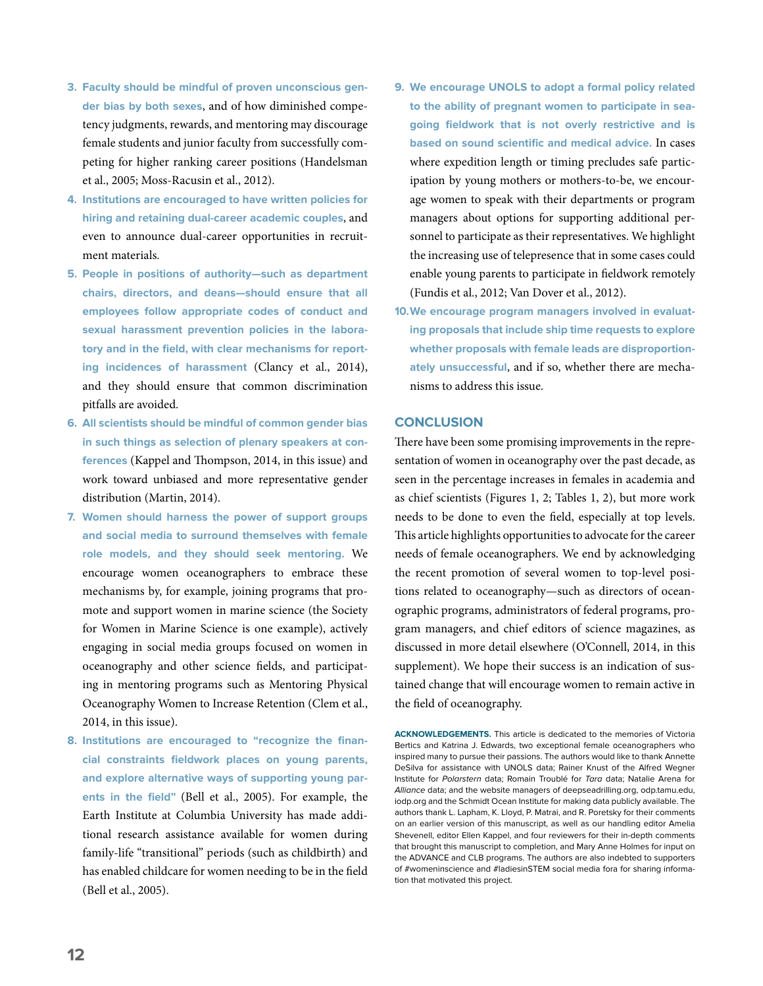- **3. Faculty should be mindful of proven unconscious gender bias by both sexes**, and of how diminished competency judgments, rewards, and mentoring may discourage female students and junior faculty from successfully competing for higher ranking career positions (Handelsman et al., 2005; Moss-Racusin et al., 2012).
- **4. Institutions are encouraged to have written policies for hiring and retaining dual-career academic couples**, and even to announce dual-career opportunities in recruitment materials.
- **5. People in positions of authority—such as department chairs, directors, and deans—should ensure that all employees follow appropriate codes of conduct and sexual harassment prevention policies in the laboratory and in the field, with clear mechanisms for reporting incidences of harassment** (Clancy et al., 2014), and they should ensure that common discrimination pitfalls are avoided.
- **6. All scientists should be mindful of common gender bias in such things as selection of plenary speakers at conferences** (Kappel and Thompson, 2014, in this issue) and work toward unbiased and more representative gender distribution (Martin, 2014).
- **7. Women should harness the power of support groups and social media to surround themselves with female role models, and they should seek mentoring.** We encourage women oceanographers to embrace these mechanisms by, for example, joining programs that promote and support women in marine science (the Society for Women in Marine Science is one example), actively engaging in social media groups focused on women in oceanography and other science fields, and participating in mentoring programs such as Mentoring Physical Oceanography Women to Increase Retention (Clem et al., 2014, in this issue).
- **8. Institutions are encouraged to "recognize the financial constraints fieldwork places on young parents, and explore alternative ways of supporting young parents in the field"** (Bell et al., 2005). For example, the Earth Institute at Columbia University has made additional research assistance available for women during family-life "transitional" periods (such as childbirth) and has enabled childcare for women needing to be in the field (Bell et al., 2005).
- **9. We encourage UNOLS to adopt a formal policy related to the ability of pregnant women to participate in seagoing fieldwork that is not overly restrictive and is based on sound scientific and medical advice.** In cases where expedition length or timing precludes safe participation by young mothers or mothers-to-be, we encourage women to speak with their departments or program managers about options for supporting additional personnel to participate as their representatives. We highlight the increasing use of telepresence that in some cases could enable young parents to participate in fieldwork remotely (Fundis et al., 2012; Van Dover et al., 2012).
- **10.We encourage program managers involved in evaluating proposals that include ship time requests to explore whether proposals with female leads are disproportionately unsuccessful**, and if so, whether there are mechanisms to address this issue.

#### **CONCLUSION**

There have been some promising improvements in the representation of women in oceanography over the past decade, as seen in the percentage increases in females in academia and as chief scientists (Figures 1, 2; Tables 1, 2), but more work needs to be done to even the field, especially at top levels. This article highlights opportunities to advocate for the career needs of female oceanographers. We end by acknowledging the recent promotion of several women to top-level positions related to oceanography—such as directors of oceanographic programs, administrators of federal programs, program managers, and chief editors of science magazines, as discussed in more detail elsewhere (O'Connell, 2014, in this supplement). We hope their success is an indication of sustained change that will encourage women to remain active in the field of oceanography.

**ACKNOWLEDGEMENTS.** This article is dedicated to the memories of Victoria Bertics and Katrina J. Edwards, two exceptional female oceanographers who inspired many to pursue their passions. The authors would like to thank Annette DeSilva for assistance with UNOLS data; Rainer Knust of the Alfred Wegner Institute for Polarstern data; Romain Troublé for Tara data; Natalie Arena for Alliance data; and the website managers of [deepseadrilling.org,](deepseadrilling.org)<odp.tamu.edu>, <iodp.org> and the Schmidt Ocean Institute for making data publicly available. The authors thank L. Lapham, K. Lloyd, P. Matrai, and R. Poretsky for their comments on an earlier version of this manuscript, as well as our handling editor Amelia Shevenell, editor Ellen Kappel, and four reviewers for their in-depth comments that brought this manuscript to completion, and Mary Anne Holmes for input on the ADVANCE and CLB programs. The authors are also indebted to supporters of #womeninscience and #ladiesinSTEM social media fora for sharing information that motivated this project.